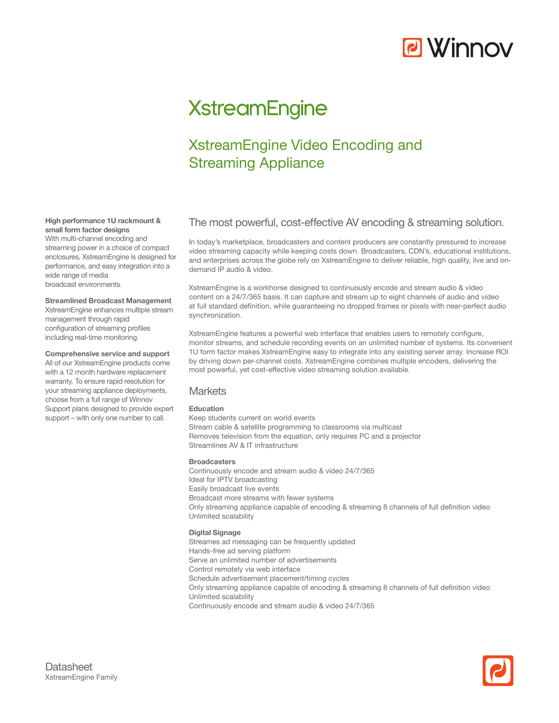# **P** Winnov

## **XstreamEngine**

## XstreamEngine Video Encoding and Streaming Appliance

### The most powerful, cost-effective AV encoding & streaming solution.

In today's marketplace, broadcasters and content producers are constantly pressured to increase video streaming capacity while keeping costs down. Broadcasters, CDN's, educational institutions, and enterprises across the globe rely on XstreamEngine to deliver reliable, high quality, live and ondemand IP audio & video.

XstreamEngine is a workhorse designed to continuously encode and stream audio & video content on a 24/7/365 basis. It can capture and stream up to eight channels of audio and video at full standard definition, while guaranteeing no dropped frames or pixels with near-perfect audio synchronization.

XstreamEngine features a powerful web interface that enables users to remotely configure, monitor streams, and schedule recording events on an unlimited number of systems. Its convenient 1U form factor makes XstreamEngine easy to integrate into any existing server array. Increase ROI by driving down per-channel costs. XstreamEngine combines multiple encoders, delivering the most powerful, yet cost-effective video streaming solution available.

#### **Markets**

#### **Education**

Keep students current on world events Stream cable & satellite programming to classrooms via multicast Removes television from the equation, only requires PC and a projector Streamlines AV & IT infrastructure

#### **Broadcasters**

Continuously encode and stream audio & video 24/7/365 Ideal for IPTV broadcasting Easily broadcast live events Broadcast more streams with fewer systems Only streaming appliance capable of encoding & streaming 8 channels of full definition video Unlimited scalability

#### **Digital Signage**

Streames ad messaging can be frequently updated

- Hands-free ad serving platform
- Serve an unlimited number of advertisements
- Control remotely via web interface
- Schedule advertisement placement/timing cycles
- Only streaming appliance capable of encoding & streaming 8 channels of full definition video Unlimited scalability
- Continuously encode and stream audio & video 24/7/365

#### **High performance 1U rackmount & small form factor designs**

With multi-channel encoding and streaming power in a choice of compact enclosures, XstreamEngine is designed for performance, and easy integration into a wide range of media broadcast environments.

#### **Streamlined Broadcast Management**

XstreamEngine enhances multiple stream management through rapid configuration of streaming profiles including real-time monitoring.

#### **Comprehensive service and support**

All of our XstreamEngine products come with a 12 month hardware replacement warranty. To ensure rapid resolution for your streaming appliance deployments, choose from a full range of Winnov Support plans designed to provide expert support – with only one number to call.